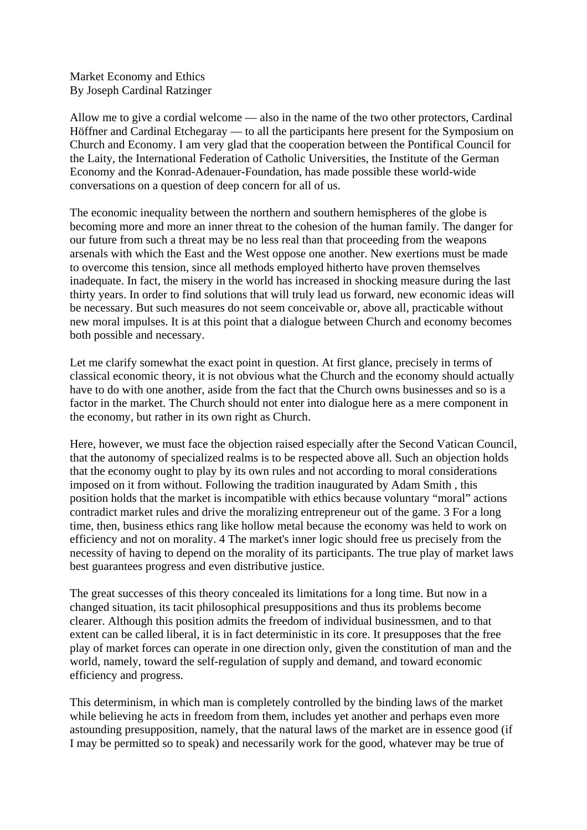Market Economy and Ethics By Joseph Cardinal Ratzinger

Allow me to give a cordial welcome — also in the name of the two other protectors, Cardinal Höffner and Cardinal Etchegaray — to all the participants here present for the Symposium on Church and Economy. I am very glad that the cooperation between the Pontifical Council for the Laity, the International Federation of Catholic Universities, the Institute of the German Economy and the Konrad-Adenauer-Foundation, has made possible these world-wide conversations on a question of deep concern for all of us.

The economic inequality between the northern and southern hemispheres of the globe is becoming more and more an inner threat to the cohesion of the human family. The danger for our future from such a threat may be no less real than that proceeding from the weapons arsenals with which the East and the West oppose one another. New exertions must be made to overcome this tension, since all methods employed hitherto have proven themselves inadequate. In fact, the misery in the world has increased in shocking measure during the last thirty years. In order to find solutions that will truly lead us forward, new economic ideas will be necessary. But such measures do not seem conceivable or, above all, practicable without new moral impulses. It is at this point that a dialogue between Church and economy becomes both possible and necessary.

Let me clarify somewhat the exact point in question. At first glance, precisely in terms of classical economic theory, it is not obvious what the Church and the economy should actually have to do with one another, aside from the fact that the Church owns businesses and so is a factor in the market. The Church should not enter into dialogue here as a mere component in the economy, but rather in its own right as Church.

Here, however, we must face the objection raised especially after the Second Vatican Council, that the autonomy of specialized realms is to be respected above all. Such an objection holds that the economy ought to play by its own rules and not according to moral considerations imposed on it from without. Following the tradition inaugurated by Adam Smith , this position holds that the market is incompatible with ethics because voluntary "moral" actions contradict market rules and drive the moralizing entrepreneur out of the game. 3 For a long time, then, business ethics rang like hollow metal because the economy was held to work on efficiency and not on morality. 4 The market's inner logic should free us precisely from the necessity of having to depend on the morality of its participants. The true play of market laws best guarantees progress and even distributive justice.

The great successes of this theory concealed its limitations for a long time. But now in a changed situation, its tacit philosophical presuppositions and thus its problems become clearer. Although this position admits the freedom of individual businessmen, and to that extent can be called liberal, it is in fact deterministic in its core. It presupposes that the free play of market forces can operate in one direction only, given the constitution of man and the world, namely, toward the self-regulation of supply and demand, and toward economic efficiency and progress.

This determinism, in which man is completely controlled by the binding laws of the market while believing he acts in freedom from them, includes yet another and perhaps even more astounding presupposition, namely, that the natural laws of the market are in essence good (if I may be permitted so to speak) and necessarily work for the good, whatever may be true of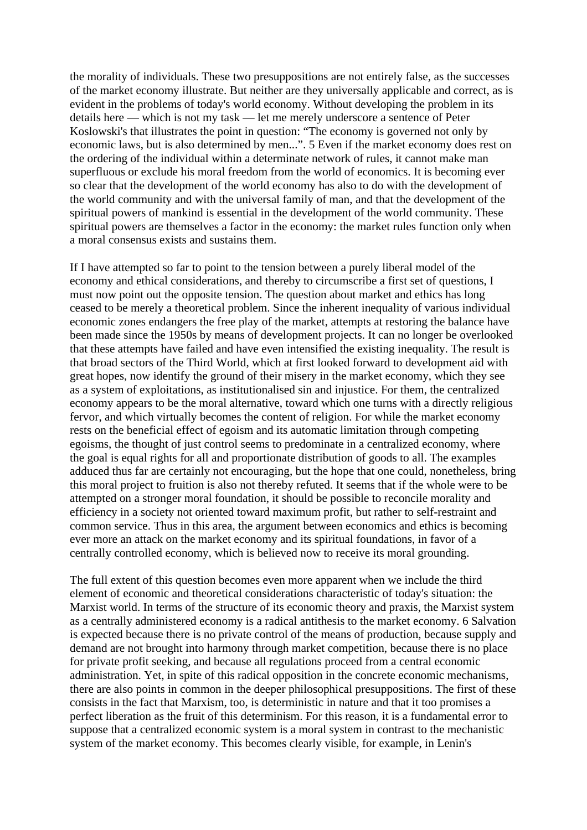the morality of individuals. These two presuppositions are not entirely false, as the successes of the market economy illustrate. But neither are they universally applicable and correct, as is evident in the problems of today's world economy. Without developing the problem in its details here — which is not my task — let me merely underscore a sentence of Peter Koslowski's that illustrates the point in question: "The economy is governed not only by economic laws, but is also determined by men...". 5 Even if the market economy does rest on the ordering of the individual within a determinate network of rules, it cannot make man superfluous or exclude his moral freedom from the world of economics. It is becoming ever so clear that the development of the world economy has also to do with the development of the world community and with the universal family of man, and that the development of the spiritual powers of mankind is essential in the development of the world community. These spiritual powers are themselves a factor in the economy: the market rules function only when a moral consensus exists and sustains them.

If I have attempted so far to point to the tension between a purely liberal model of the economy and ethical considerations, and thereby to circumscribe a first set of questions, I must now point out the opposite tension. The question about market and ethics has long ceased to be merely a theoretical problem. Since the inherent inequality of various individual economic zones endangers the free play of the market, attempts at restoring the balance have been made since the 1950s by means of development projects. It can no longer be overlooked that these attempts have failed and have even intensified the existing inequality. The result is that broad sectors of the Third World, which at first looked forward to development aid with great hopes, now identify the ground of their misery in the market economy, which they see as a system of exploitations, as institutionalised sin and injustice. For them, the centralized economy appears to be the moral alternative, toward which one turns with a directly religious fervor, and which virtually becomes the content of religion. For while the market economy rests on the beneficial effect of egoism and its automatic limitation through competing egoisms, the thought of just control seems to predominate in a centralized economy, where the goal is equal rights for all and proportionate distribution of goods to all. The examples adduced thus far are certainly not encouraging, but the hope that one could, nonetheless, bring this moral project to fruition is also not thereby refuted. It seems that if the whole were to be attempted on a stronger moral foundation, it should be possible to reconcile morality and efficiency in a society not oriented toward maximum profit, but rather to self-restraint and common service. Thus in this area, the argument between economics and ethics is becoming ever more an attack on the market economy and its spiritual foundations, in favor of a centrally controlled economy, which is believed now to receive its moral grounding.

The full extent of this question becomes even more apparent when we include the third element of economic and theoretical considerations characteristic of today's situation: the Marxist world. In terms of the structure of its economic theory and praxis, the Marxist system as a centrally administered economy is a radical antithesis to the market economy. 6 Salvation is expected because there is no private control of the means of production, because supply and demand are not brought into harmony through market competition, because there is no place for private profit seeking, and because all regulations proceed from a central economic administration. Yet, in spite of this radical opposition in the concrete economic mechanisms, there are also points in common in the deeper philosophical presuppositions. The first of these consists in the fact that Marxism, too, is deterministic in nature and that it too promises a perfect liberation as the fruit of this determinism. For this reason, it is a fundamental error to suppose that a centralized economic system is a moral system in contrast to the mechanistic system of the market economy. This becomes clearly visible, for example, in Lenin's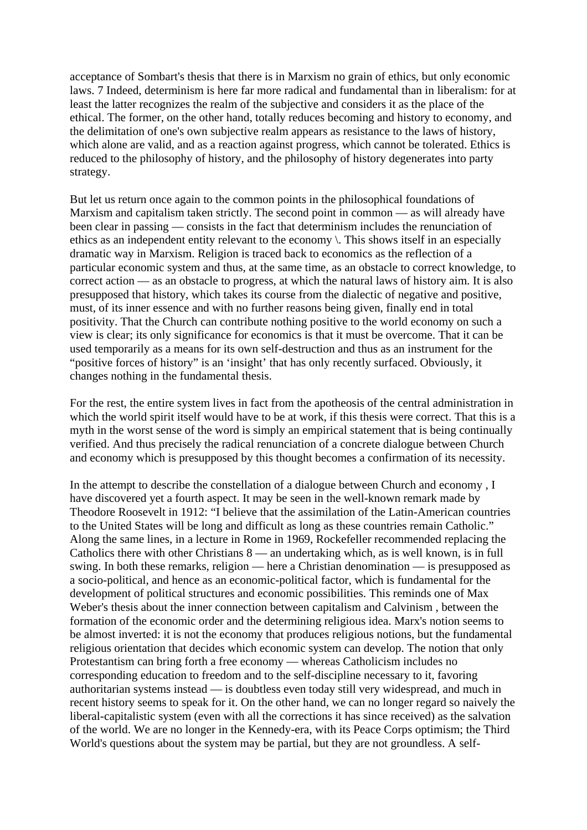acceptance of Sombart's thesis that there is in Marxism no grain of ethics, but only economic laws. 7 Indeed, determinism is here far more radical and fundamental than in liberalism: for at least the latter recognizes the realm of the subjective and considers it as the place of the ethical. The former, on the other hand, totally reduces becoming and history to economy, and the delimitation of one's own subjective realm appears as resistance to the laws of history, which alone are valid, and as a reaction against progress, which cannot be tolerated. Ethics is reduced to the philosophy of history, and the philosophy of history degenerates into party strategy.

But let us return once again to the common points in the philosophical foundations of Marxism and capitalism taken strictly. The second point in common — as will already have been clear in passing — consists in the fact that determinism includes the renunciation of ethics as an independent entity relevant to the economy \. This shows itself in an especially dramatic way in Marxism. Religion is traced back to economics as the reflection of a particular economic system and thus, at the same time, as an obstacle to correct knowledge, to correct action — as an obstacle to progress, at which the natural laws of history aim. It is also presupposed that history, which takes its course from the dialectic of negative and positive, must, of its inner essence and with no further reasons being given, finally end in total positivity. That the Church can contribute nothing positive to the world economy on such a view is clear; its only significance for economics is that it must be overcome. That it can be used temporarily as a means for its own self-destruction and thus as an instrument for the "positive forces of history" is an 'insight' that has only recently surfaced. Obviously, it changes nothing in the fundamental thesis.

For the rest, the entire system lives in fact from the apotheosis of the central administration in which the world spirit itself would have to be at work, if this thesis were correct. That this is a myth in the worst sense of the word is simply an empirical statement that is being continually verified. And thus precisely the radical renunciation of a concrete dialogue between Church and economy which is presupposed by this thought becomes a confirmation of its necessity.

In the attempt to describe the constellation of a dialogue between Church and economy , I have discovered yet a fourth aspect. It may be seen in the well-known remark made by Theodore Roosevelt in 1912: "I believe that the assimilation of the Latin-American countries to the United States will be long and difficult as long as these countries remain Catholic." Along the same lines, in a lecture in Rome in 1969, Rockefeller recommended replacing the Catholics there with other Christians 8 — an undertaking which, as is well known, is in full swing. In both these remarks, religion — here a Christian denomination — is presupposed as a socio-political, and hence as an economic-political factor, which is fundamental for the development of political structures and economic possibilities. This reminds one of Max Weber's thesis about the inner connection between capitalism and Calvinism , between the formation of the economic order and the determining religious idea. Marx's notion seems to be almost inverted: it is not the economy that produces religious notions, but the fundamental religious orientation that decides which economic system can develop. The notion that only Protestantism can bring forth a free economy — whereas Catholicism includes no corresponding education to freedom and to the self-discipline necessary to it, favoring authoritarian systems instead — is doubtless even today still very widespread, and much in recent history seems to speak for it. On the other hand, we can no longer regard so naively the liberal-capitalistic system (even with all the corrections it has since received) as the salvation of the world. We are no longer in the Kennedy-era, with its Peace Corps optimism; the Third World's questions about the system may be partial, but they are not groundless. A self-